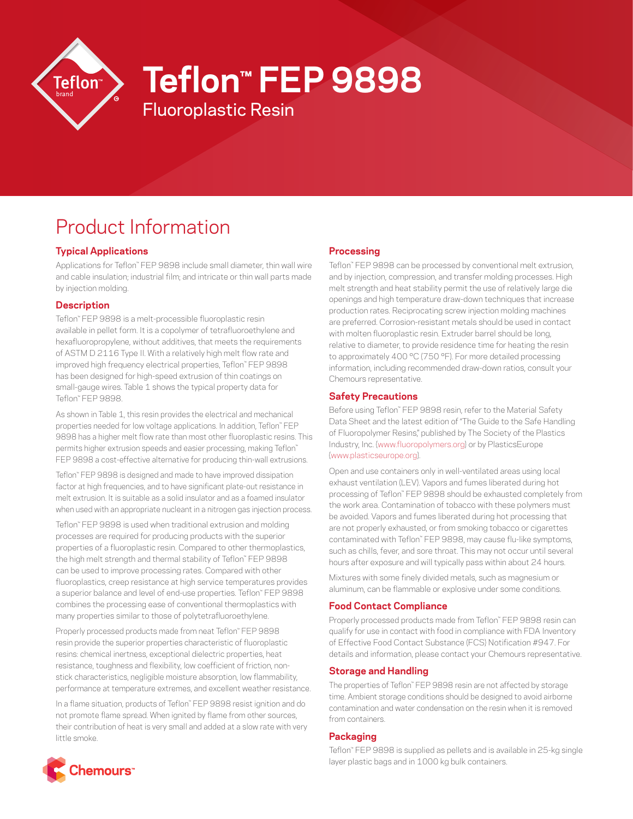

# **Teflon™ FEP 9898**

# Product Information

## **Typical Applications**

Applications for Teflon™ FEP 9898 include small diameter, thin wall wire and cable insulation; industrial film; and intricate or thin wall parts made by injection molding.

Fluoroplastic Resin

#### **Description**

Teflon™ FEP 9898 is a melt-processible fluoroplastic resin available in pellet form. It is a copolymer of tetrafluoroethylene and hexafluoropropylene, without additives, that meets the requirements of ASTM D 2116 Type II. With a relatively high melt flow rate and improved high frequency electrical properties, Teflon™ FEP 9898 has been designed for high-speed extrusion of thin coatings on small-gauge wires. Table 1 shows the typical property data for Teflon™ FEP 9898.

As shown in Table 1, this resin provides the electrical and mechanical properties needed for low voltage applications. In addition, Teflon™ FEP 9898 has a higher melt flow rate than most other fluoroplastic resins. This permits higher extrusion speeds and easier processing, making Teflon™ FEP 9898 a cost-effective alternative for producing thin-wall extrusions.

Teflon™ FEP 9898 is designed and made to have improved dissipation factor at high frequencies, and to have significant plate-out resistance in melt extrusion. It is suitable as a solid insulator and as a foamed insulator when used with an appropriate nucleant in a nitrogen gas injection process.

Teflon™ FEP 9898 is used when traditional extrusion and molding processes are required for producing products with the superior properties of a fluoroplastic resin. Compared to other thermoplastics, the high melt strength and thermal stability of Teflon™ FEP 9898 can be used to improve processing rates. Compared with other fluoroplastics, creep resistance at high service temperatures provides a superior balance and level of end-use properties. Teflon™ FEP 9898 combines the processing ease of conventional thermoplastics with many properties similar to those of polytetrafluoroethylene.

Properly processed products made from neat Teflon™ FEP 9898 resin provide the superior properties characteristic of fluoroplastic resins: chemical inertness, exceptional dielectric properties, heat resistance, toughness and flexibility, low coefficient of friction, nonstick characteristics, negligible moisture absorption, low flammability, performance at temperature extremes, and excellent weather resistance.

In a flame situation, products of Teflon™ FEP 9898 resist ignition and do not promote flame spread. When ignited by flame from other sources, their contribution of heat is very small and added at a slow rate with very little smoke.

#### **Processing**

Teflon™ FEP 9898 can be processed by conventional melt extrusion, and by injection, compression, and transfer molding processes. High melt strength and heat stability permit the use of relatively large die openings and high temperature draw-down techniques that increase production rates. Reciprocating screw injection molding machines are preferred. Corrosion-resistant metals should be used in contact with molten fluoroplastic resin. Extruder barrel should be long, relative to diameter, to provide residence time for heating the resin to approximately 400 °C (750 °F). For more detailed processing information, including recommended draw-down ratios, consult your Chemours representative.

#### **Safety Precautions**

Before using Teflon™ FEP 9898 resin, refer to the Material Safety Data Sheet and the latest edition of "The Guide to the Safe Handling of Fluoropolymer Resins," published by The Society of the Plastics Industry, Inc. ([www.fluoropolymers.org\)](http://www.fluoropolymers.org) or by PlasticsEurope [\(www.plasticseurope.org\)](http://www.plasticseurope.org).

Open and use containers only in well-ventilated areas using local exhaust ventilation (LEV). Vapors and fumes liberated during hot processing of Teflon™ FEP 9898 should be exhausted completely from the work area. Contamination of tobacco with these polymers must be avoided. Vapors and fumes liberated during hot processing that are not properly exhausted, or from smoking tobacco or cigarettes contaminated with Teflon™ FEP 9898, may cause flu-like symptoms, such as chills, fever, and sore throat. This may not occur until several hours after exposure and will typically pass within about 24 hours.

Mixtures with some finely divided metals, such as magnesium or aluminum, can be flammable or explosive under some conditions.

## **Food Contact Compliance**

Properly processed products made from Teflon™ FEP 9898 resin can qualify for use in contact with food in compliance with FDA Inventory of Effective Food Contact Substance (FCS) Notification #947. For details and information, please contact your Chemours representative.

#### **Storage and Handling**

The properties of Teflon™ FEP 9898 resin are not affected by storage time. Ambient storage conditions should be designed to avoid airborne contamination and water condensation on the resin when it is removed from containers.

#### **Packaging**

Teflon™ FEP 9898 is supplied as pellets and is available in 25-kg single layer plastic bags and in 1000 kg bulk containers.